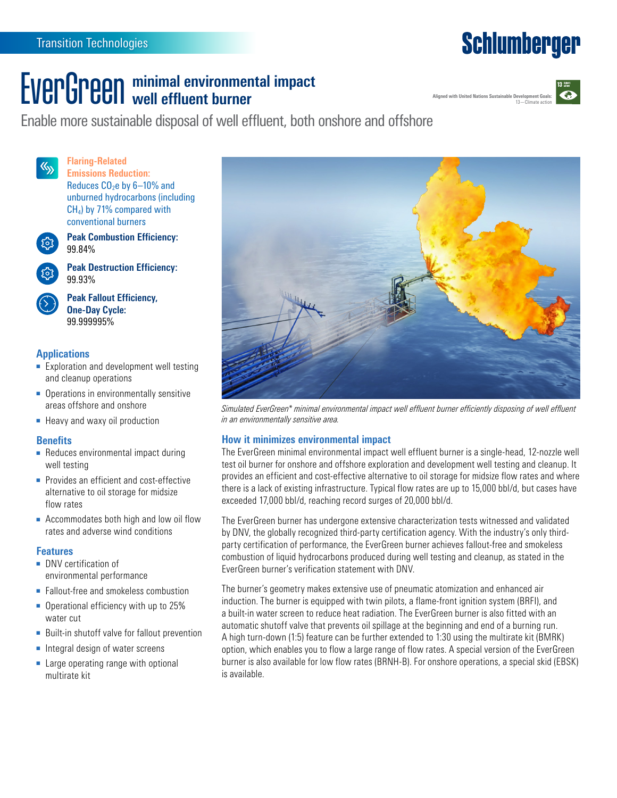## **Schlumberger**

### **EVERGRAND ENGLISH** minimal environmental impact **well effluent burner**





Enable more sustainable disposal of well effluent, both onshore and offshore

 $\langle \zeta_{\rm y} \rangle$ 

**Flaring-Related Emissions Reduction:** Reduces  $CO<sub>2</sub>e$  by  $6-10%$  and unburned hydrocarbons (including CH4) by 71% compared with conventional burners



**Peak Combustion Efficiency:** 99.84%



**Peak Destruction Efficiency:**  99.93%

**Peak Fallout Efficiency, One-Day Cycle:**  99.999995%

#### **Applications**

- Exploration and development well testing and cleanup operations
- Operations in environmentally sensitive areas offshore and onshore
- Heavy and waxy oil production

#### **Benefits**

- Reduces environmental impact during well testing
- Provides an efficient and cost-effective alternative to oil storage for midsize flow rates
- Accommodates both high and low oil flow rates and adverse wind conditions

#### **Features**

- DNV certification of environmental performance
- Fallout-free and smokeless combustion
- Operational efficiency with up to 25% water cut
- Built-in shutoff valve for fallout prevention
- Integral design of water screens
- Large operating range with optional multirate kit



*Simulated EverGreen\* minimal environmental impact well effluent burner efficiently disposing of well effluent in an environmentally sensitive area.*

#### **How it minimizes environmental impact**

The EverGreen minimal environmental impact well effluent burner is a single-head, 12-nozzle well test oil burner for onshore and offshore exploration and development well testing and cleanup. It provides an efficient and cost-effective alternative to oil storage for midsize flow rates and where there is a lack of existing infrastructure. Typical flow rates are up to 15,000 bbl/d, but cases have exceeded 17,000 bbl/d, reaching record surges of 20,000 bbl/d.

The EverGreen burner has undergone extensive characterization tests witnessed and validated by DNV, the globally recognized third-party certification agency. With the industry's only thirdparty certification of performance, the EverGreen burner achieves fallout-free and smokeless combustion of liquid hydrocarbons produced during well testing and cleanup, as stated in the EverGreen burner's verification statement with DNV.

The burner's geometry makes extensive use of pneumatic atomization and enhanced air induction. The burner is equipped with twin pilots, a flame-front ignition system (BRFI), and a built-in water screen to reduce heat radiation. The EverGreen burner is also fitted with an automatic shutoff valve that prevents oil spillage at the beginning and end of a burning run. A high turn-down (1:5) feature can be further extended to 1:30 using the multirate kit (BMRK) option, which enables you to flow a large range of flow rates. A special version of the EverGreen burner is also available for low flow rates (BRNH-B). For onshore operations, a special skid (EBSK) is available.